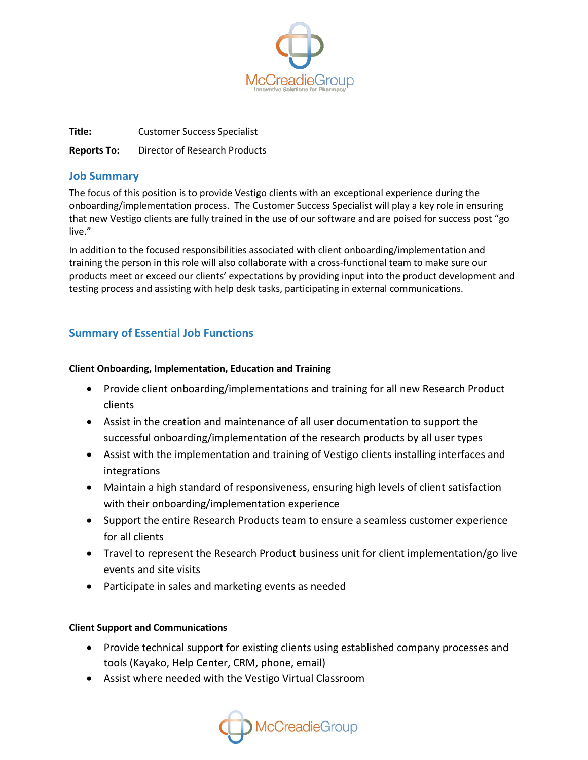

**Title:** Customer Success Specialist **Reports To:** Director of Research Products

### **Job Summary**

The focus of this position is to provide Vestigo clients with an exceptional experience during the onboarding/implementation process. The Customer Success Specialist will play a key role in ensuring that new Vestigo clients are fully trained in the use of our software and are poised for success post "go live."

In addition to the focused responsibilities associated with client onboarding/implementation and training the person in this role will also collaborate with a cross-functional team to make sure our products meet or exceed our clients' expectations by providing input into the product development and testing process and assisting with help desk tasks, participating in external communications.

# **Summary of Essential Job Functions**

#### **Client Onboarding, Implementation, Education and Training**

- Provide client onboarding/implementations and training for all new Research Product clients
- Assist in the creation and maintenance of all user documentation to support the successful onboarding/implementation of the research products by all user types
- Assist with the implementation and training of Vestigo clients installing interfaces and integrations
- Maintain a high standard of responsiveness, ensuring high levels of client satisfaction with their onboarding/implementation experience
- Support the entire Research Products team to ensure a seamless customer experience for all clients
- Travel to represent the Research Product business unit for client implementation/go live events and site visits
- Participate in sales and marketing events as needed

#### **Client Support and Communications**

- Provide technical support for existing clients using established company processes and tools (Kayako, Help Center, CRM, phone, email)
- Assist where needed with the Vestigo Virtual Classroom

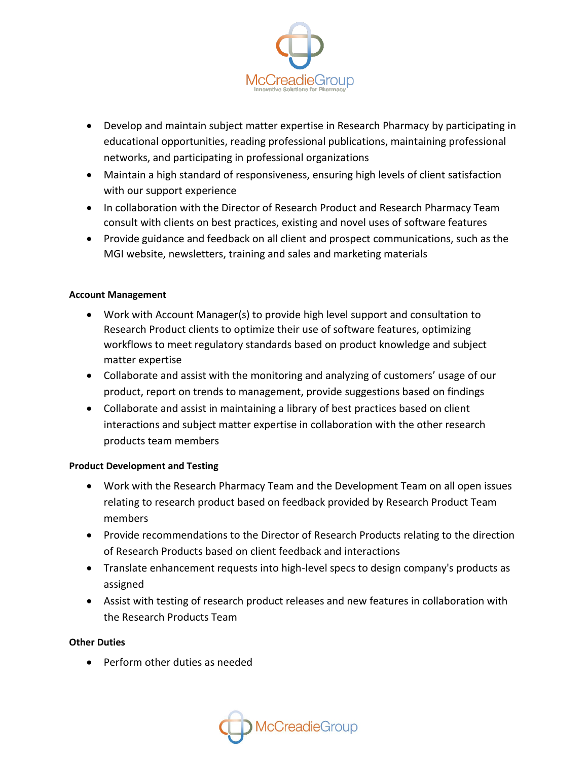

- Develop and maintain subject matter expertise in Research Pharmacy by participating in educational opportunities, reading professional publications, maintaining professional networks, and participating in professional organizations
- Maintain a high standard of responsiveness, ensuring high levels of client satisfaction with our support experience
- In collaboration with the Director of Research Product and Research Pharmacy Team consult with clients on best practices, existing and novel uses of software features
- Provide guidance and feedback on all client and prospect communications, such as the MGI website, newsletters, training and sales and marketing materials

#### **Account Management**

- Work with Account Manager(s) to provide high level support and consultation to Research Product clients to optimize their use of software features, optimizing workflows to meet regulatory standards based on product knowledge and subject matter expertise
- Collaborate and assist with the monitoring and analyzing of customers' usage of our product, report on trends to management, provide suggestions based on findings
- Collaborate and assist in maintaining a library of best practices based on client interactions and subject matter expertise in collaboration with the other research products team members

#### **Product Development and Testing**

- Work with the Research Pharmacy Team and the Development Team on all open issues relating to research product based on feedback provided by Research Product Team members
- Provide recommendations to the Director of Research Products relating to the direction of Research Products based on client feedback and interactions
- Translate enhancement requests into high-level specs to design company's products as assigned
- Assist with testing of research product releases and new features in collaboration with the Research Products Team

#### **Other Duties**

• Perform other duties as needed